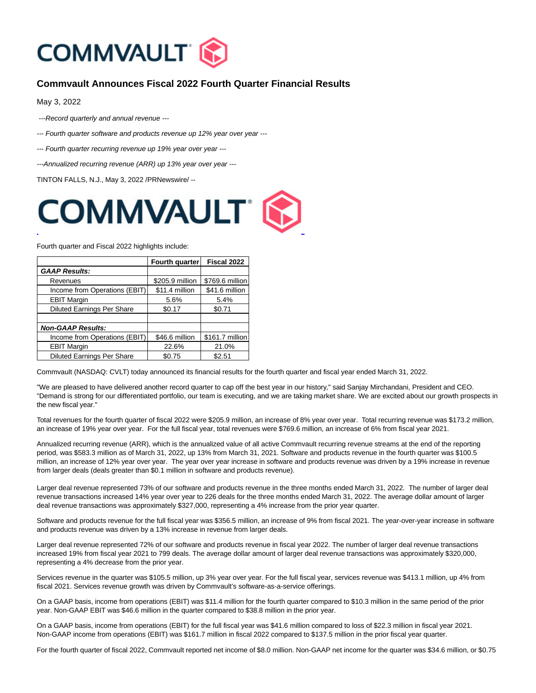

# **Commvault Announces Fiscal 2022 Fourth Quarter Financial Results**

May 3, 2022

- ---Record quarterly and annual revenue ---
- --- Fourth quarter software and products revenue up 12% year over year ---
- --- Fourth quarter recurring revenue up 19% year over year ---
- ---Annualized recurring revenue (ARR) up 13% year over year ---

TINTON FALLS, N.J., May 3, 2022 /PRNewswire/ --



Fourth quarter and Fiscal 2022 highlights include:

|                                   | Fourth quarter  | Fiscal 2022     |
|-----------------------------------|-----------------|-----------------|
| <b>GAAP Results:</b>              |                 |                 |
| Revenues                          | \$205.9 million | \$769.6 million |
| Income from Operations (EBIT)     | \$11.4 million  | \$41.6 million  |
| <b>EBIT Margin</b>                | 5.6%            | 5.4%            |
| <b>Diluted Earnings Per Share</b> | \$0.17          | \$0.71          |
|                                   |                 |                 |
| <b>Non-GAAP Results:</b>          |                 |                 |
| Income from Operations (EBIT)     | \$46.6 million  | \$161.7 million |
| <b>EBIT Margin</b>                | 22.6%           | 21.0%           |
| <b>Diluted Earnings Per Share</b> | \$0.75          | \$2.51          |

Commvault (NASDAQ: CVLT) today announced its financial results for the fourth quarter and fiscal year ended March 31, 2022.

"We are pleased to have delivered another record quarter to cap off the best year in our history," said Sanjay Mirchandani, President and CEO. "Demand is strong for our differentiated portfolio, our team is executing, and we are taking market share. We are excited about our growth prospects in the new fiscal year."

Total revenues for the fourth quarter of fiscal 2022 were \$205.9 million, an increase of 8% year over year. Total recurring revenue was \$173.2 million, an increase of 19% year over year. For the full fiscal year, total revenues were \$769.6 million, an increase of 6% from fiscal year 2021.

Annualized recurring revenue (ARR), which is the annualized value of all active Commvault recurring revenue streams at the end of the reporting period, was \$583.3 million as of March 31, 2022, up 13% from March 31, 2021. Software and products revenue in the fourth quarter was \$100.5 million, an increase of 12% year over year. The year over year increase in software and products revenue was driven by a 19% increase in revenue from larger deals (deals greater than \$0.1 million in software and products revenue).

Larger deal revenue represented 73% of our software and products revenue in the three months ended March 31, 2022. The number of larger deal revenue transactions increased 14% year over year to 226 deals for the three months ended March 31, 2022. The average dollar amount of larger deal revenue transactions was approximately \$327,000, representing a 4% increase from the prior year quarter.

Software and products revenue for the full fiscal year was \$356.5 million, an increase of 9% from fiscal 2021. The year-over-year increase in software and products revenue was driven by a 13% increase in revenue from larger deals.

Larger deal revenue represented 72% of our software and products revenue in fiscal year 2022. The number of larger deal revenue transactions increased 19% from fiscal year 2021 to 799 deals. The average dollar amount of larger deal revenue transactions was approximately \$320,000, representing a 4% decrease from the prior year.

Services revenue in the quarter was \$105.5 million, up 3% year over year. For the full fiscal year, services revenue was \$413.1 million, up 4% from fiscal 2021. Services revenue growth was driven by Commvault's software-as-a-service offerings.

On a GAAP basis, income from operations (EBIT) was \$11.4 million for the fourth quarter compared to \$10.3 million in the same period of the prior year. Non-GAAP EBIT was \$46.6 million in the quarter compared to \$38.8 million in the prior year.

On a GAAP basis, income from operations (EBIT) for the full fiscal year was \$41.6 million compared to loss of \$22.3 million in fiscal year 2021. Non-GAAP income from operations (EBIT) was \$161.7 million in fiscal 2022 compared to \$137.5 million in the prior fiscal year quarter.

For the fourth quarter of fiscal 2022, Commvault reported net income of \$8.0 million. Non-GAAP net income for the quarter was \$34.6 million, or \$0.75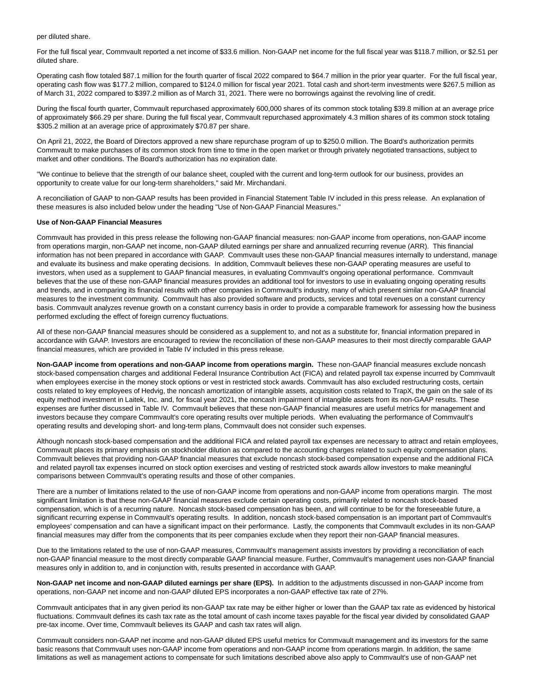per diluted share.

For the full fiscal year, Commvault reported a net income of \$33.6 million. Non-GAAP net income for the full fiscal year was \$118.7 million, or \$2.51 per diluted share.

Operating cash flow totaled \$87.1 million for the fourth quarter of fiscal 2022 compared to \$64.7 million in the prior year quarter. For the full fiscal year, operating cash flow was \$177.2 million, compared to \$124.0 million for fiscal year 2021. Total cash and short-term investments were \$267.5 million as of March 31, 2022 compared to \$397.2 million as of March 31, 2021. There were no borrowings against the revolving line of credit.

During the fiscal fourth quarter, Commvault repurchased approximately 600,000 shares of its common stock totaling \$39.8 million at an average price of approximately \$66.29 per share. During the full fiscal year, Commvault repurchased approximately 4.3 million shares of its common stock totaling \$305.2 million at an average price of approximately \$70.87 per share.

On April 21, 2022, the Board of Directors approved a new share repurchase program of up to \$250.0 million. The Board's authorization permits Commvault to make purchases of its common stock from time to time in the open market or through privately negotiated transactions, subject to market and other conditions. The Board's authorization has no expiration date.

"We continue to believe that the strength of our balance sheet, coupled with the current and long-term outlook for our business, provides an opportunity to create value for our long-term shareholders," said Mr. Mirchandani.

A reconciliation of GAAP to non-GAAP results has been provided in Financial Statement Table IV included in this press release. An explanation of these measures is also included below under the heading "Use of Non-GAAP Financial Measures."

### **Use of Non-GAAP Financial Measures**

Commvault has provided in this press release the following non-GAAP financial measures: non-GAAP income from operations, non-GAAP income from operations margin, non-GAAP net income, non-GAAP diluted earnings per share and annualized recurring revenue (ARR). This financial information has not been prepared in accordance with GAAP. Commvault uses these non-GAAP financial measures internally to understand, manage and evaluate its business and make operating decisions. In addition, Commvault believes these non-GAAP operating measures are useful to investors, when used as a supplement to GAAP financial measures, in evaluating Commvault's ongoing operational performance. Commvault believes that the use of these non-GAAP financial measures provides an additional tool for investors to use in evaluating ongoing operating results and trends, and in comparing its financial results with other companies in Commvault's industry, many of which present similar non-GAAP financial measures to the investment community. Commvault has also provided software and products, services and total revenues on a constant currency basis. Commvault analyzes revenue growth on a constant currency basis in order to provide a comparable framework for assessing how the business performed excluding the effect of foreign currency fluctuations.

All of these non-GAAP financial measures should be considered as a supplement to, and not as a substitute for, financial information prepared in accordance with GAAP. Investors are encouraged to review the reconciliation of these non-GAAP measures to their most directly comparable GAAP financial measures, which are provided in Table IV included in this press release.

**Non-GAAP income from operations and non-GAAP income from operations margin.** These non-GAAP financial measures exclude noncash stock-based compensation charges and additional Federal Insurance Contribution Act (FICA) and related payroll tax expense incurred by Commvault when employees exercise in the money stock options or vest in restricted stock awards. Commvault has also excluded restructuring costs, certain costs related to key employees of Hedvig, the noncash amortization of intangible assets, acquisition costs related to TrapX, the gain on the sale of its equity method investment in Laitek, Inc. and, for fiscal year 2021, the noncash impairment of intangible assets from its non-GAAP results. These expenses are further discussed in Table IV. Commvault believes that these non-GAAP financial measures are useful metrics for management and investors because they compare Commvault's core operating results over multiple periods. When evaluating the performance of Commvault's operating results and developing short- and long-term plans, Commvault does not consider such expenses.

Although noncash stock-based compensation and the additional FICA and related payroll tax expenses are necessary to attract and retain employees, Commvault places its primary emphasis on stockholder dilution as compared to the accounting charges related to such equity compensation plans. Commvault believes that providing non-GAAP financial measures that exclude noncash stock-based compensation expense and the additional FICA and related payroll tax expenses incurred on stock option exercises and vesting of restricted stock awards allow investors to make meaningful comparisons between Commvault's operating results and those of other companies.

There are a number of limitations related to the use of non-GAAP income from operations and non-GAAP income from operations margin. The most significant limitation is that these non-GAAP financial measures exclude certain operating costs, primarily related to noncash stock-based compensation, which is of a recurring nature. Noncash stock-based compensation has been, and will continue to be for the foreseeable future, a significant recurring expense in Commvault's operating results. In addition, noncash stock-based compensation is an important part of Commvault's employees' compensation and can have a significant impact on their performance. Lastly, the components that Commvault excludes in its non-GAAP financial measures may differ from the components that its peer companies exclude when they report their non-GAAP financial measures.

Due to the limitations related to the use of non-GAAP measures, Commvault's management assists investors by providing a reconciliation of each non-GAAP financial measure to the most directly comparable GAAP financial measure. Further, Commvault's management uses non-GAAP financial measures only in addition to, and in conjunction with, results presented in accordance with GAAP.

**Non-GAAP net income and non-GAAP diluted earnings per share (EPS).** In addition to the adjustments discussed in non-GAAP income from operations, non-GAAP net income and non-GAAP diluted EPS incorporates a non-GAAP effective tax rate of 27%.

Commvault anticipates that in any given period its non-GAAP tax rate may be either higher or lower than the GAAP tax rate as evidenced by historical fluctuations. Commvault defines its cash tax rate as the total amount of cash income taxes payable for the fiscal year divided by consolidated GAAP pre-tax income. Over time, Commvault believes its GAAP and cash tax rates will align.

Commvault considers non-GAAP net income and non-GAAP diluted EPS useful metrics for Commvault management and its investors for the same basic reasons that Commvault uses non-GAAP income from operations and non-GAAP income from operations margin. In addition, the same limitations as well as management actions to compensate for such limitations described above also apply to Commvault's use of non-GAAP net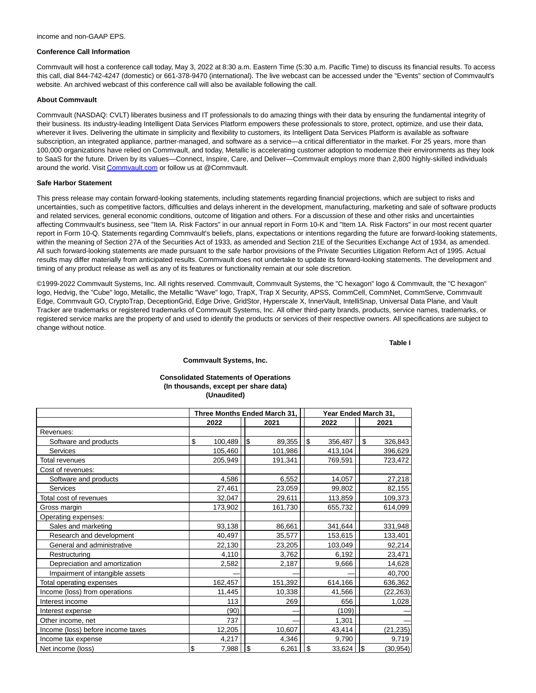income and non-GAAP EPS.

### **Conference Call Information**

Commvault will host a conference call today, May 3, 2022 at 8:30 a.m. Eastern Time (5:30 a.m. Pacific Time) to discuss its financial results. To access this call, dial 844-742-4247 (domestic) or 661-378-9470 (international). The live webcast can be accessed under the "Events" section of Commvault's website. An archived webcast of this conference call will also be available following the call.

### **About Commvault**

Commvault (NASDAQ: CVLT) liberates business and IT professionals to do amazing things with their data by ensuring the fundamental integrity of their business. Its industry-leading Intelligent Data Services Platform empowers these professionals to store, protect, optimize, and use their data, wherever it lives. Delivering the ultimate in simplicity and flexibility to customers, its Intelligent Data Services Platform is available as software subscription, an integrated appliance, partner-managed, and software as a service—a critical differentiator in the market. For 25 years, more than 100,000 organizations have relied on Commvault, and today, Metallic is accelerating customer adoption to modernize their environments as they look to SaaS for the future. Driven by its values—Connect, Inspire, Care, and Deliver—Commvault employs more than 2,800 highly-skilled individuals around the world. Visi[t Commvault.com o](http://commvault.com/)r follow us at @Commvault.

### **Safe Harbor Statement**

This press release may contain forward-looking statements, including statements regarding financial projections, which are subject to risks and uncertainties, such as competitive factors, difficulties and delays inherent in the development, manufacturing, marketing and sale of software products and related services, general economic conditions, outcome of litigation and others. For a discussion of these and other risks and uncertainties affecting Commvault's business, see "Item IA. Risk Factors" in our annual report in Form 10-K and "Item 1A. Risk Factors" in our most recent quarter report in Form 10-Q. Statements regarding Commvault's beliefs, plans, expectations or intentions regarding the future are forward-looking statements, within the meaning of Section 27A of the Securities Act of 1933, as amended and Section 21E of the Securities Exchange Act of 1934, as amended. All such forward-looking statements are made pursuant to the safe harbor provisions of the Private Securities Litigation Reform Act of 1995. Actual results may differ materially from anticipated results. Commvault does not undertake to update its forward-looking statements. The development and timing of any product release as well as any of its features or functionality remain at our sole discretion.

©1999-2022 Commvault Systems, Inc. All rights reserved. Commvault, Commvault Systems, the "C hexagon" logo & Commvault, the "C hexagon" logo, Hedvig, the "Cube" logo, Metallic, the Metallic "Wave" logo, TrapX, Trap X Security, APSS, CommCell, CommNet, CommServe, Commvault Edge, Commvault GO, CryptoTrap, DeceptionGrid, Edge Drive, GridStor, Hyperscale X, InnerVault, IntelliSnap, Universal Data Plane, and Vault Tracker are trademarks or registered trademarks of Commvault Systems, Inc. All other third-party brands, products, service names, trademarks, or registered service marks are the property of and used to identify the products or services of their respective owners. All specifications are subject to change without notice.

 **Table I**

**Commvault Systems, Inc.**

### **Consolidated Statements of Operations (In thousands, except per share data) (Unaudited)**

|                                   |               | Three Months Ended March 31,        |               | Year Ended March 31,  |  |
|-----------------------------------|---------------|-------------------------------------|---------------|-----------------------|--|
|                                   | 2022          | 2021                                | 2022          | 2021                  |  |
| Revenues:                         |               |                                     |               |                       |  |
| Software and products             | \$<br>100,489 | $\boldsymbol{\mathsf{S}}$<br>89,355 | \$<br>356,487 | \$<br>326,843         |  |
| <b>Services</b>                   | 105,460       | 101,986                             | 413,104       | 396,629               |  |
| Total revenues                    | 205,949       | 191,341                             | 769,591       | 723,472               |  |
| Cost of revenues:                 |               |                                     |               |                       |  |
| Software and products             | 4,586         | 6,552                               | 14,057        | 27,218                |  |
| <b>Services</b>                   | 27,461        | 23,059                              | 99,802        | 82,155                |  |
| Total cost of revenues            | 32,047        | 29,611                              | 113,859       | 109,373               |  |
| Gross margin                      | 173,902       | 161,730                             | 655,732       | 614,099               |  |
| Operating expenses:               |               |                                     |               |                       |  |
| Sales and marketing               | 93,138        | 86,661                              | 341,644       | 331,948               |  |
| Research and development          | 40,497        | 35,577                              | 153,615       | 133,401               |  |
| General and administrative        | 22,130        | 23,205                              | 103,049       | 92,214                |  |
| Restructuring                     | 4,110         | 3,762                               | 6,192         | 23,471                |  |
| Depreciation and amortization     | 2,582         | 2,187                               | 9,666         | 14,628                |  |
| Impairment of intangible assets   |               |                                     |               | 40,700                |  |
| Total operating expenses          | 162,457       | 151,392                             | 614,166       | 636,362               |  |
| Income (loss) from operations     | 11,445        | 10,338                              | 41,566        | (22, 263)             |  |
| Interest income                   | 113           | 269                                 | 656           | 1,028                 |  |
| Interest expense                  | (90)          |                                     | (109)         |                       |  |
| Other income, net                 | 737           |                                     | 1,301         |                       |  |
| Income (loss) before income taxes | 12,205        | 10,607                              | 43,414        | (21, 235)             |  |
| Income tax expense                | 4,217         | 4,346                               | 9,790         | 9,719                 |  |
| Net income (loss)                 | \$<br>7,988   | 5<br>6,261                          | \$<br>33,624  | <b>S</b><br>(30, 954) |  |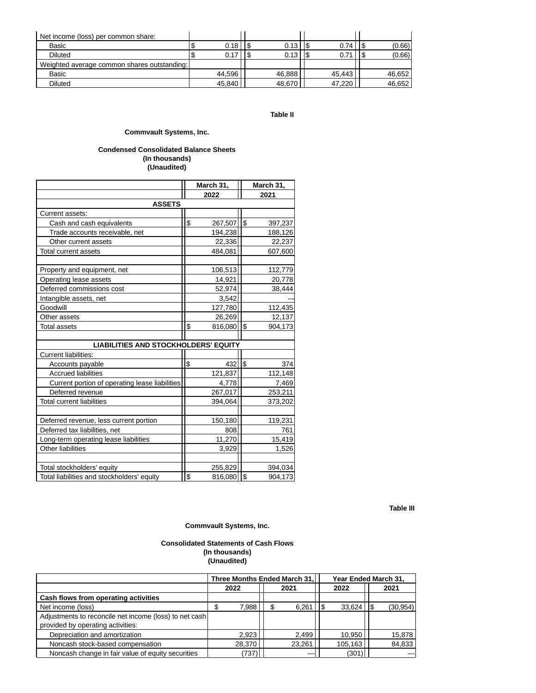| Net income (loss) per common share:         |        |        |        |        |
|---------------------------------------------|--------|--------|--------|--------|
| Basic                                       | 0.18   | 0.13   | 0.74   | (0.66) |
| Diluted                                     | 0.17   | 0.13   | 0.71   | (0.66) |
| Weighted average common shares outstanding: |        |        |        |        |
| Basic                                       | 44.596 | 46.888 | 45.443 | 46,652 |
| <b>Diluted</b>                              | 45.840 | 48.670 | 47.220 | 46,652 |

# **Table II**

# **Commvault Systems, Inc.**

## **Condensed Consolidated Balance Sheets (In thousands) (Unaudited)**

|                                                | March 31,     | March 31,     |
|------------------------------------------------|---------------|---------------|
|                                                | 2022          | 2021          |
| <b>ASSETS</b>                                  |               |               |
| Current assets:                                |               |               |
| Cash and cash equivalents                      | \$<br>267,507 | \$<br>397,237 |
| Trade accounts receivable, net                 | 194,238       | 188,126       |
| Other current assets                           | 22,336        | 22,237        |
| <b>Total current assets</b>                    | 484,081       | 607,600       |
|                                                |               |               |
| Property and equipment, net                    | 106,513       | 112,779       |
| Operating lease assets                         | 14,921        | 20,778        |
| Deferred commissions cost                      | 52,974        | 38,444        |
| Intangible assets, net                         | 3,542         |               |
| Goodwill                                       | 127,780       | 112,435       |
| Other assets                                   | 26,269        | 12,137        |
| <b>Total assets</b>                            | \$<br>816,080 | \$<br>904,173 |
|                                                |               |               |
| <b>LIABILITIES AND STOCKHOLDERS' EQUITY</b>    |               |               |
| <b>Current liabilities:</b>                    |               |               |
| Accounts payable                               | \$<br>432     | \$<br>374     |
| <b>Accrued liabilities</b>                     | 121,837       | 112,148       |
| Current portion of operating lease liabilities | 4,778         | 7,469         |
| Deferred revenue                               | 267,017       | 253,211       |
| <b>Total current liabilities</b>               | 394,064       | 373,202       |
|                                                |               |               |
| Deferred revenue, less current portion         | 150,180       | 119,231       |
| Deferred tax liabilities, net                  | 808           | 761           |
| Long-term operating lease liabilities          | 11,270        | 15,419        |
| Other liabilities                              | 3,929         | 1,526         |
|                                                |               |               |
| Total stockholders' equity                     | 255,829       | 394,034       |
| Total liabilities and stockholders' equity     | \$<br>816,080 | \$<br>904,173 |

**Table III**

**Commvault Systems, Inc.**

**Consolidated Statements of Cash Flows (In thousands) (Unaudited)**

|                                                                                             | Three Months Ended March 31, |        |      |        |      | Year Ended March 31, |  |           |  |
|---------------------------------------------------------------------------------------------|------------------------------|--------|------|--------|------|----------------------|--|-----------|--|
|                                                                                             |                              | 2022   | 2021 |        | 2022 |                      |  | 2021      |  |
| Cash flows from operating activities                                                        |                              |        |      |        |      |                      |  |           |  |
| Net income (loss)                                                                           |                              | 7,988  | S    | 6.261  | I\$  | $33.624$ S           |  | (30, 954) |  |
| Adjustments to reconcile net income (loss) to net cash<br>provided by operating activities: |                              |        |      |        |      |                      |  |           |  |
| Depreciation and amortization                                                               |                              | 2,923  |      | 2.499  |      | 10.950               |  | 15,878    |  |
| Noncash stock-based compensation                                                            |                              | 28,370 |      | 23.261 |      | 105,163              |  | 84,833    |  |
| Noncash change in fair value of equity securities                                           |                              | (737)  |      |        |      | (301)                |  |           |  |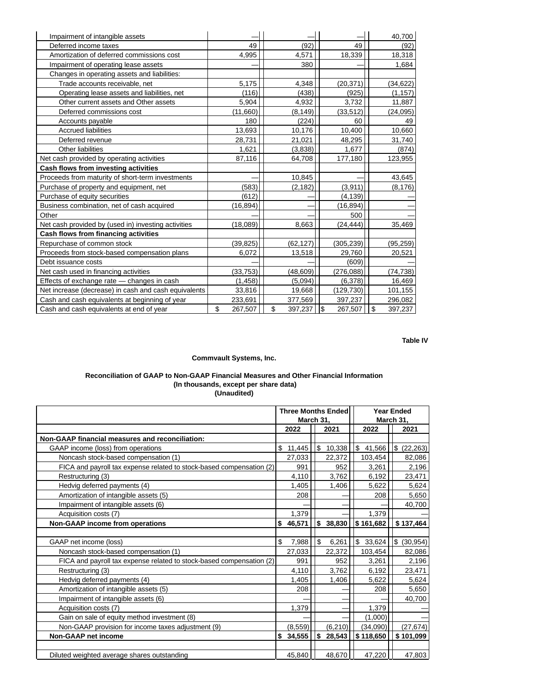| Impairment of intangible assets                      |               |               |                           | 40,700        |
|------------------------------------------------------|---------------|---------------|---------------------------|---------------|
| Deferred income taxes                                | 49            | (92)          | 49                        | (92)          |
| Amortization of deferred commissions cost            | 4,995         | 4,571         | 18,339                    | 18,318        |
| Impairment of operating lease assets                 |               | 380           |                           | 1,684         |
| Changes in operating assets and liabilities:         |               |               |                           |               |
| Trade accounts receivable, net                       | 5,175         | 4,348         | (20, 371)                 | (34, 622)     |
| Operating lease assets and liabilities, net          | (116)         | (438)         | (925)                     | (1, 157)      |
| Other current assets and Other assets                | 5,904         | 4,932         | 3,732                     | 11,887        |
| Deferred commissions cost                            | (11.660)      | (8.149)       | (33,512)                  | (24, 095)     |
| Accounts payable                                     | 180           | (224)         | 60                        | 49            |
| <b>Accrued liabilities</b>                           | 13,693        | 10,176        | 10,400                    | 10,660        |
| Deferred revenue                                     | 28,731        | 21,021        | 48,295                    | 31,740        |
| Other liabilities                                    | 1,621         | (3,838)       | 1,677                     | (874)         |
| Net cash provided by operating activities            | 87,116        | 64,708        | 177,180                   | 123,955       |
| Cash flows from investing activities                 |               |               |                           |               |
| Proceeds from maturity of short-term investments     |               | 10,845        |                           | 43,645        |
| Purchase of property and equipment, net              | (583)         | (2, 182)      | (3,911)                   | (8, 176)      |
| Purchase of equity securities                        | (612)         |               | (4, 139)                  |               |
| Business combination, net of cash acquired           | (16, 894)     |               | (16, 894)                 |               |
| Other                                                |               |               | 500                       |               |
| Net cash provided by (used in) investing activities  | (18,089)      | 8,663         | (24, 444)                 | 35,469        |
| Cash flows from financing activities                 |               |               |                           |               |
| Repurchase of common stock                           | (39, 825)     | (62, 127)     | (305, 239)                | (95, 259)     |
| Proceeds from stock-based compensation plans         | 6,072         | 13,518        | 29,760                    | 20,521        |
| Debt issuance costs                                  |               |               | (609)                     |               |
| Net cash used in financing activities                | (33, 753)     | (48, 609)     | (276, 088)                | (74, 738)     |
| Effects of exchange rate – changes in cash           | (1, 458)      | (5,094)       | (6,378)                   | 16,469        |
| Net increase (decrease) in cash and cash equivalents | 33,816        | 19,668        | (129, 730)                | 101,155       |
| Cash and cash equivalents at beginning of year       | 233,691       | 377,569       | 397,237                   | 296,082       |
| Cash and cash equivalents at end of year             | \$<br>267,507 | \$<br>397,237 | $\mathfrak{S}$<br>267,507 | \$<br>397,237 |

**Table IV**

# **Commvault Systems, Inc.**

### **Reconciliation of GAAP to Non-GAAP Financial Measures and Other Financial Information (In thousands, except per share data) (Unaudited)**

|                                                                      |              | <b>Three Months Ended</b><br>March 31, |              | <b>Year Ended</b><br>March 31, |
|----------------------------------------------------------------------|--------------|----------------------------------------|--------------|--------------------------------|
|                                                                      | 2022         | 2021                                   | 2022         | 2021                           |
| Non-GAAP financial measures and reconciliation:                      |              |                                        |              |                                |
| GAAP income (loss) from operations                                   | \$<br>11,445 | \$<br>10,338                           | \$<br>41,566 | \$<br>(22, 263)                |
| Noncash stock-based compensation (1)                                 | 27,033       | 22,372                                 | 103,454      | 82,086                         |
| FICA and payroll tax expense related to stock-based compensation (2) | 991          | 952                                    | 3.261        | 2,196                          |
| Restructuring (3)                                                    | 4,110        | 3,762                                  | 6,192        | 23,471                         |
| Hedvig deferred payments (4)                                         | 1,405        | 1,406                                  | 5,622        | 5,624                          |
| Amortization of intangible assets (5)                                | 208          |                                        | 208          | 5,650                          |
| Impairment of intangible assets (6)                                  |              |                                        |              | 40,700                         |
| Acquisition costs (7)                                                | 1,379        |                                        | 1,379        |                                |
| Non-GAAP income from operations                                      | 46,571<br>\$ | \$<br>38,830                           | \$161,682    | \$137,464                      |
|                                                                      |              |                                        |              |                                |
| GAAP net income (loss)                                               | \$<br>7,988  | \$<br>6,261                            | \$33,624     | \$<br>(30, 954)                |
| Noncash stock-based compensation (1)                                 | 27,033       | 22,372                                 | 103,454      | 82,086                         |
| FICA and payroll tax expense related to stock-based compensation (2) | 991          | 952                                    | 3,261        | 2,196                          |
| Restructuring (3)                                                    | 4,110        | 3,762                                  | 6,192        | 23,471                         |
| Hedvig deferred payments (4)                                         | 1,405        | 1,406                                  | 5,622        | 5,624                          |
| Amortization of intangible assets (5)                                | 208          |                                        | 208          | 5,650                          |
| Impairment of intangible assets (6)                                  |              |                                        |              | 40,700                         |
| Acquisition costs (7)                                                | 1,379        |                                        | 1,379        |                                |
| Gain on sale of equity method investment (8)                         |              |                                        | (1,000)      |                                |
| Non-GAAP provision for income taxes adjustment (9)                   | (8,559)      | (6, 210)                               | (34,090)     | (27, 674)                      |
| <b>Non-GAAP net income</b>                                           | \$<br>34,555 | 28,543<br>\$                           | \$118,650    | \$101,099                      |
|                                                                      |              |                                        |              |                                |
| Diluted weighted average shares outstanding                          | 45,840       | 48,670                                 | 47,220       | 47,803                         |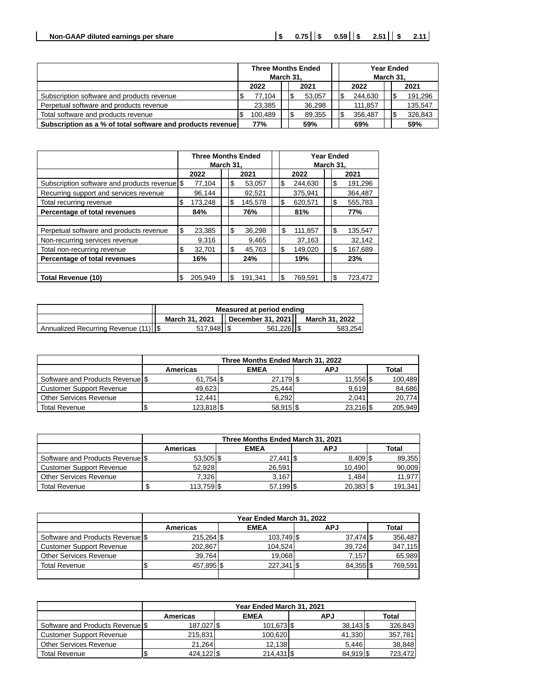|                                                            |            | <b>Three Months Ended</b> | <b>Year Ended</b> |           |  |  |
|------------------------------------------------------------|------------|---------------------------|-------------------|-----------|--|--|
|                                                            |            | March 31.                 |                   | March 31. |  |  |
|                                                            | 2022       | 2021                      | 2022              | 2021      |  |  |
| Subscription software and products revenue                 | 77.104     | 53.057                    | 244.630           | 191,296   |  |  |
| Perpetual software and products revenue                    | 23.385     | 36.298                    | 111.857           | 135,547   |  |  |
| Total software and products revenue                        | 100.489    | 89.355                    | 356.487           | 326.843   |  |  |
| Subscription as a % of total software and products revenue | <b>77%</b> | 59%                       | 69%               | 59%       |  |  |

|                                               | <b>Three Months Ended</b><br>March 31. |         |  |               |         | <b>Year Ended</b><br>March 31. |     |         |  |     |         |
|-----------------------------------------------|----------------------------------------|---------|--|---------------|---------|--------------------------------|-----|---------|--|-----|---------|
|                                               |                                        | 2022    |  |               | 2021    |                                |     | 2022    |  |     | 2021    |
| Subscription software and products revenue \$ |                                        | 77.104  |  | 1\$           | 53,057  |                                | Ι\$ | 244.630 |  | \$  | 191,296 |
| Recurring support and services revenue        |                                        | 96,144  |  |               | 92,521  |                                |     | 375,941 |  |     | 364,487 |
| Total recurring revenue                       | \$                                     | 173.248 |  | $\mathbf{\$}$ | 145.578 |                                | Ι\$ | 620.571 |  | \$  | 555.783 |
| Percentage of total revenues                  |                                        | 84%     |  |               | 76%     |                                |     | 81%     |  |     | 77%     |
|                                               |                                        |         |  |               |         |                                |     |         |  |     |         |
| Perpetual software and products revenue       | \$                                     | 23.385  |  | \$            | 36,298  |                                | \$  | 111,857 |  | \$  | 135,547 |
| Non-recurring services revenue                |                                        | 9.316   |  |               | 9.465   |                                |     | 37.163  |  |     | 32.142  |
| Total non-recurring revenue                   | S                                      | 32.701  |  | \$            | 45.763  |                                | Ι\$ | 149.020 |  | Ŝ.  | 167,689 |
| Percentage of total revenues                  |                                        | 16%     |  |               | 24%     |                                |     | 19%     |  |     | 23%     |
|                                               |                                        |         |  |               |         |                                |     |         |  |     |         |
| <b>Total Revenue (10)</b>                     |                                        | 205.949 |  | S.            | 191.341 | ھ ا                            |     | 769.591 |  | l\$ | 723.472 |

|                                     | Measured at period ending |                                  |                |  |  |  |  |  |
|-------------------------------------|---------------------------|----------------------------------|----------------|--|--|--|--|--|
|                                     | March 31, 2021            | $\blacksquare$ December 31, 2021 | March 31, 2022 |  |  |  |  |  |
| Annualized Recurring Revenue (11) S | 517.948   \$              | 561.226 S                        | 583.254        |  |  |  |  |  |

|                                 | Three Months Ended March 31, 2022 |             |             |         |  |  |  |  |  |  |
|---------------------------------|-----------------------------------|-------------|-------------|---------|--|--|--|--|--|--|
|                                 | Americas                          | <b>EMEA</b> | <b>APJ</b>  | Total   |  |  |  |  |  |  |
| Software and Products Revenue S | $61,754$ \\$                      | 27,179 \$   | $11,556$ \$ | 100.489 |  |  |  |  |  |  |
| <b>Customer Support Revenue</b> | 49.623                            | 25.444      | 9.619       | 84,686  |  |  |  |  |  |  |
| <b>Other Services Revenue</b>   | 12.441                            | 6.292       | 2.041       | 20,774  |  |  |  |  |  |  |
| <b>Total Revenue</b>            | $123,818$ \$                      | $58,915$ \$ | $23,216$ \$ | 205,949 |  |  |  |  |  |  |

|                                  | Three Months Ended March 31, 2021 |             |              |         |  |  |  |  |  |  |  |
|----------------------------------|-----------------------------------|-------------|--------------|---------|--|--|--|--|--|--|--|
|                                  | <b>Americas</b>                   | <b>EMEA</b> | APJ          | Total   |  |  |  |  |  |  |  |
| Software and Products Revenue \$ | 53.505                            | 27.441 \$   | $8.409$ \ \$ | 89,355  |  |  |  |  |  |  |  |
| <b>Customer Support Revenue</b>  | 52.928                            | 26.591      | 10.490       | 90,009  |  |  |  |  |  |  |  |
| <b>Other Services Revenue</b>    | 7.326                             | 3.167       | 1.484        | 11,977  |  |  |  |  |  |  |  |
| <b>Total Revenue</b>             | 113,759 \$                        | 57,199 \$   | $20,383$ \$  | 191,341 |  |  |  |  |  |  |  |

|                                  | Year Ended March 31, 2022 |             |            |         |  |  |  |
|----------------------------------|---------------------------|-------------|------------|---------|--|--|--|
|                                  | <b>Americas</b>           | <b>EMEA</b> | <b>APJ</b> | Total   |  |  |  |
| Software and Products Revenue \$ | 215.264 \$                | 103,749 \$  | 37.474 \$  | 356,487 |  |  |  |
| <b>Customer Support Revenue</b>  | 202.867                   | 104.524     | 39.724     | 347,115 |  |  |  |
| <b>Other Services Revenue</b>    | 39.764                    | 19,068      | 7.157      | 65,989  |  |  |  |
| <b>Total Revenue</b>             | 457.895                   | 227,341 \$  | 84.355     | 769,591 |  |  |  |
|                                  |                           |             |            |         |  |  |  |

|                                  | Year Ended March 31, 2021 |             |             |         |  |  |  |
|----------------------------------|---------------------------|-------------|-------------|---------|--|--|--|
|                                  | <b>Americas</b>           | <b>EMEA</b> | <b>APJ</b>  | Total   |  |  |  |
| Software and Products Revenue \$ | 187,027 \$                | 101,673 \$  | $38,143$ \$ | 326,843 |  |  |  |
| <b>Customer Support Revenue</b>  | 215,831                   | 100.620     | 41,330      | 357,781 |  |  |  |
| <b>Other Services Revenue</b>    | 21.264                    | 12.138      | 5.446       | 38,848  |  |  |  |
| <b>Total Revenue</b>             | 424.1225                  | 214.431 \$  | 84,919 \$   | 723.472 |  |  |  |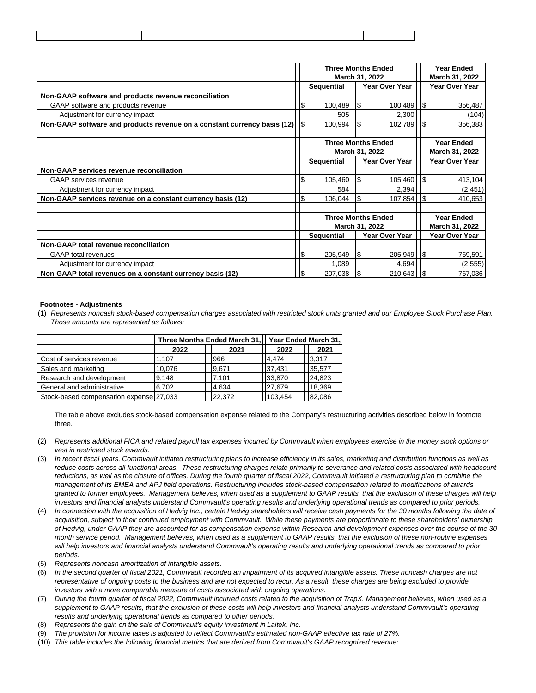|                                                                               | <b>Three Months Ended</b> |                                             |                       | <b>Year Ended</b> |                   |                |
|-------------------------------------------------------------------------------|---------------------------|---------------------------------------------|-----------------------|-------------------|-------------------|----------------|
|                                                                               | March 31, 2022            |                                             |                       | March 31, 2022    |                   |                |
|                                                                               |                           | <b>Sequential</b>                           |                       | Year Over Year    |                   | Year Over Year |
| Non-GAAP software and products revenue reconciliation                         |                           |                                             |                       |                   |                   |                |
| GAAP software and products revenue                                            | \$                        | 100,489                                     | <b>S</b>              | 100,489           | <b>S</b>          | 356,487        |
| Adjustment for currency impact                                                |                           | 505                                         |                       | 2,300             |                   | (104)          |
| Non-GAAP software and products revenue on a constant currency basis (12) $ \$ |                           | 100,994                                     | 1\$                   | 102,789           | ھ ا               | 356,383        |
|                                                                               |                           |                                             |                       |                   |                   |                |
|                                                                               |                           | <b>Three Months Ended</b>                   |                       | <b>Year Ended</b> |                   |                |
|                                                                               |                           | March 31, 2022                              |                       | March 31, 2022    |                   |                |
|                                                                               |                           | <b>Sequential</b><br><b>Year Over Year</b>  |                       |                   | Year Over Year    |                |
| <b>Non-GAAP services revenue reconciliation</b>                               |                           |                                             |                       |                   |                   |                |
| <b>GAAP</b> services revenue                                                  | \$                        | 105,460                                     | l\$                   | 105,460           | l\$               | 413,104        |
| Adjustment for currency impact                                                |                           | 584                                         |                       | 2,394             |                   | (2, 451)       |
| Non-GAAP services revenue on a constant currency basis (12)                   | \$                        | 106,044                                     | 1\$                   | 107,854           | l\$               | 410,653        |
|                                                                               |                           |                                             |                       |                   |                   |                |
|                                                                               |                           | <b>Three Months Ended</b><br>March 31, 2022 |                       |                   | <b>Year Ended</b> |                |
|                                                                               |                           |                                             |                       | March 31, 2022    |                   |                |
|                                                                               | <b>Sequential</b>         |                                             | <b>Year Over Year</b> |                   |                   | Year Over Year |
| <b>Non-GAAP total revenue reconciliation</b>                                  |                           |                                             |                       |                   |                   |                |
| <b>GAAP</b> total revenues                                                    | \$                        | 205,949                                     | 1\$                   | 205,949           | 1\$               | 769,591        |
| Adjustment for currency impact                                                |                           | 1,089                                       |                       | 4,694             |                   | (2, 555)       |
| Non-GAAP total revenues on a constant currency basis (12)                     | \$                        | 207,038                                     | <b>S</b>              | 210,643           | 1\$               | 767,036        |

#### **Footnotes - Adjustments**

(1) Represents noncash stock-based compensation charges associated with restricted stock units granted and our Employee Stock Purchase Plan. Those amounts are represented as follows:

|                                         | Three Months Ended March 31, |  |        | Year Ended March 31, |        |  |
|-----------------------------------------|------------------------------|--|--------|----------------------|--------|--|
|                                         | 2022                         |  | 2021   | 2022                 | 2021   |  |
| Cost of services revenue                | 1.107                        |  | 966    | 4.474                | 3,317  |  |
| Sales and marketing                     | 10.076                       |  | 9.671  | 37.431               | 35.577 |  |
| Research and development                | 9.148                        |  | 7.101  | 33,870               | 24.823 |  |
| General and administrative              | 6.702                        |  | 4.634  | 27.679               | 18.369 |  |
| Stock-based compensation expense 27,033 |                              |  | 22.372 | 103,454              | 82,086 |  |

The table above excludes stock-based compensation expense related to the Company's restructuring activities described below in footnote three.

- (2) Represents additional FICA and related payroll tax expenses incurred by Commvault when employees exercise in the money stock options or vest in restricted stock awards.
- (3) In recent fiscal years, Commvault initiated restructuring plans to increase efficiency in its sales, marketing and distribution functions as well as reduce costs across all functional areas. These restructuring charges relate primarily to severance and related costs associated with headcount reductions, as well as the closure of offices. During the fourth quarter of fiscal 2022, Commvault initiated a restructuring plan to combine the management of its EMEA and APJ field operations. Restructuring includes stock-based compensation related to modifications of awards granted to former employees. Management believes, when used as a supplement to GAAP results, that the exclusion of these charges will help investors and financial analysts understand Commvault's operating results and underlying operational trends as compared to prior periods.
- (4) In connection with the acquisition of Hedvig Inc., certain Hedvig shareholders will receive cash payments for the 30 months following the date of acquisition, subject to their continued employment with Commvault. While these payments are proportionate to these shareholders' ownership of Hedvig, under GAAP they are accounted for as compensation expense within Research and development expenses over the course of the 30 month service period. Management believes, when used as a supplement to GAAP results, that the exclusion of these non-routine expenses will help investors and financial analysts understand Commvault's operating results and underlying operational trends as compared to prior periods.
- (5) Represents noncash amortization of intangible assets.
- (6) In the second quarter of fiscal 2021, Commvault recorded an impairment of its acquired intangible assets. These noncash charges are not representative of ongoing costs to the business and are not expected to recur. As a result, these charges are being excluded to provide investors with a more comparable measure of costs associated with ongoing operations.
- (7) During the fourth quarter of fiscal 2022, Commvault incurred costs related to the acquisition of TrapX. Management believes, when used as a supplement to GAAP results, that the exclusion of these costs will help investors and financial analysts understand Commvault's operating results and underlying operational trends as compared to other periods.
- (8) Represents the gain on the sale of Commvault's equity investment in Laitek, Inc.
- (9) The provision for income taxes is adjusted to reflect Commvault's estimated non-GAAP effective tax rate of 27%.
- (10) This table includes the following financial metrics that are derived from Commvault's GAAP recognized revenue: